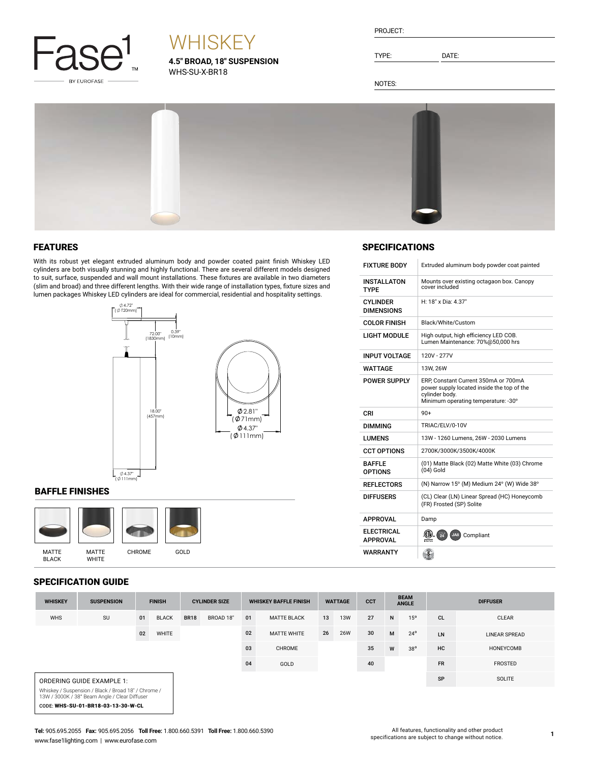

# **WHISKEY**

**4.5" BROAD, 18" SUSPENSION** WHS-SU-X-BR18

TYPE: DATE:

NOTES:



### FEATURES

With its robust yet elegant extruded aluminum body and powder coated paint finish Whiskey LED cylinders are both visually stunning and highly functional. There are several different models designed to suit, surface, suspended and wall mount installations. These fixtures are available in two diameters (slim and broad) and three different lengths. With their wide range of installation types, fixture sizes and lumen packages Whiskey LED cylinders are ideal for commercial, residential and hospitality settings.



#### BAFFLE FINISHES



#### SPECIFICATION GUIDE

|  |                                      | <b>SPECIFICATIONS</b>                                                      |  |  |  |  |  |  |  |
|--|--------------------------------------|----------------------------------------------------------------------------|--|--|--|--|--|--|--|
|  | <b>FIXTURE BODY</b>                  | Extruded aluminum body powder coat painted                                 |  |  |  |  |  |  |  |
|  | <b>INSTALLATON</b><br>TYPF           | Mounts over existing octagaon box. Canopy<br>cover included                |  |  |  |  |  |  |  |
|  | <b>CYLINDER</b><br><b>DIMENSIONS</b> | H: 18" x Dia: 4.37"                                                        |  |  |  |  |  |  |  |
|  | <b>COLOR FINISH</b>                  | Black/White/Custom                                                         |  |  |  |  |  |  |  |
|  | <b>LIGHT MODULE</b>                  | High output, high efficiency LED COB.<br>Lumen Maintenance: 70%@50,000 hrs |  |  |  |  |  |  |  |
|  | INPUT VOLTAGE                        | 120V - 277V                                                                |  |  |  |  |  |  |  |

| <b>INPUT VOLTAGE</b>            | 120V - 277V                                                                                                                                 |  |  |  |  |  |  |  |
|---------------------------------|---------------------------------------------------------------------------------------------------------------------------------------------|--|--|--|--|--|--|--|
| <b>WATTAGE</b>                  | 13W. 26W                                                                                                                                    |  |  |  |  |  |  |  |
| <b>POWER SUPPLY</b>             | ERP, Constant Current 350mA or 700mA<br>power supply located inside the top of the<br>cylinder body.<br>Minimum operating temperature: -30° |  |  |  |  |  |  |  |
| CRI                             | $90+$                                                                                                                                       |  |  |  |  |  |  |  |
| <b>DIMMING</b>                  | TRIAC/ELV/0-10V                                                                                                                             |  |  |  |  |  |  |  |
| <b>I UMFNS</b>                  | 13W - 1260 Lumens, 26W - 2030 Lumens                                                                                                        |  |  |  |  |  |  |  |
| <b>CCT OPTIONS</b>              | 2700K/3000K/3500K/4000K                                                                                                                     |  |  |  |  |  |  |  |
| <b>BAFFIF</b><br><b>OPTIONS</b> | (01) Matte Black (02) Matte White (03) Chrome<br>$(04)$ Gold                                                                                |  |  |  |  |  |  |  |
| <b>REFLECTORS</b>               | (N) Narrow 15° (M) Medium 24° (W) Wide 38°                                                                                                  |  |  |  |  |  |  |  |
| <b>DIFFUSERS</b>                | (CL) Clear (LN) Linear Spread (HC) Honeycomb<br>(FR) Frosted (SP) Solite                                                                    |  |  |  |  |  |  |  |
| APPROVAL                        | Damp                                                                                                                                        |  |  |  |  |  |  |  |
| <b>ELECTRICAL</b><br>APPROVAL   | 圆<br>Compliant<br>JA8                                                                                                                       |  |  |  |  |  |  |  |
| <b>WARRANTY</b>                 |                                                                                                                                             |  |  |  |  |  |  |  |

| <b>WHISKEY</b>                                                                                       | <b>SUSPENSION</b> | <b>FINISH</b> |              | <b>CYLINDER SIZE</b><br><b>WHISKEY BAFFLE FINISH</b> |           | <b>WATTAGE</b> |                    | <b>CCT</b> | <b>BEAM</b><br><b>ANGLE</b> |    | <b>DIFFUSER</b> |              |           |                      |
|------------------------------------------------------------------------------------------------------|-------------------|---------------|--------------|------------------------------------------------------|-----------|----------------|--------------------|------------|-----------------------------|----|-----------------|--------------|-----------|----------------------|
| <b>WHS</b>                                                                                           | SU                | 01            | <b>BLACK</b> | <b>BR18</b>                                          | BROAD 18" | 01             | <b>MATTE BLACK</b> | 13         | <b>13W</b>                  | 27 | N               | 15°          | <b>CL</b> | <b>CLEAR</b>         |
|                                                                                                      |                   | 02            | WHITE        |                                                      |           | 02             | <b>MATTE WHITE</b> | 26         | <b>26W</b>                  | 30 | M               | $24^{\circ}$ | LN        | <b>LINEAR SPREAD</b> |
|                                                                                                      |                   |               |              |                                                      |           | 03             | <b>CHROME</b>      |            |                             | 35 | W               | $38^{\circ}$ | <b>HC</b> | HONEYCOMB            |
|                                                                                                      |                   |               |              |                                                      |           | 04             | GOLD               |            |                             | 40 |                 |              | <b>FR</b> | <b>FROSTED</b>       |
| ORDERING GUIDE EXAMPLE 1:                                                                            |                   |               |              |                                                      |           |                |                    |            |                             |    |                 |              | SP        | <b>SOLITE</b>        |
| Whiskey / Suspension / Black / Broad 18" / Chrome /<br>13W / 3000K / 38° Beam Angle / Clear Diffuser |                   |               |              |                                                      |           |                |                    |            |                             |    |                 |              |           |                      |

CODE: WHS-SU-01-BR18-03-13-30-W-CL